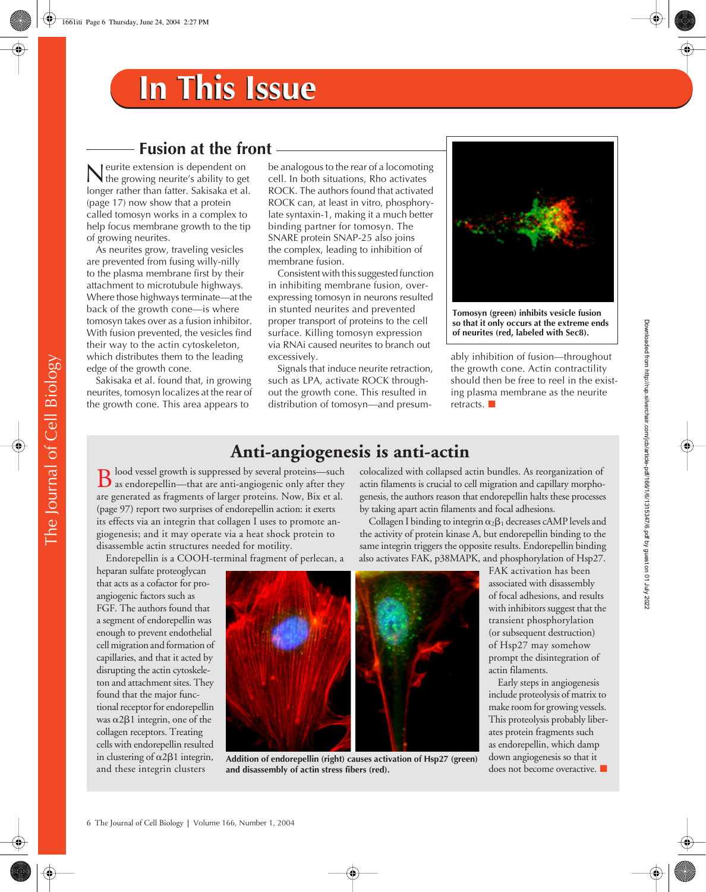## **Fusion at the front**

eurite extension is dependent on Neurite extension is dependent on<br>the growing neurite's ability to get<br> $\frac{1}{2}$ longer rather than fatter. Sakisaka et al. (page 17) now show that a protein called tomosyn works in a complex to help focus membrane growth to the tip of growing neurites.

As neurites grow, traveling vesicles are prevented from fusing willy-nilly to the plasma membrane first by their attachment to microtubule highways. Where those highways terminate—at the back of the growth cone—is where tomosyn takes over as a fusion inhibitor. With fusion prevented, the vesicles find their way to the actin cytoskeleton, which distributes them to the leading edge of the growth cone.

Sakisaka et al. found that, in growing neurites, tomosyn localizes at the rear of the growth cone. This area appears to

be analogous to the rear of a locomoting cell. In both situations, Rho activates ROCK. The authors found that activated ROCK can, at least in vitro, phosphorylate syntaxin-1, making it a much better binding partner for tomosyn. The SNARE protein SNAP-25 also joins the complex, leading to inhibition of membrane fusion.

Consistent with this suggested function in inhibiting membrane fusion, overexpressing tomosyn in neurons resulted in stunted neurites and prevented proper transport of proteins to the cell surface. Killing tomosyn expression via RNAi caused neurites to branch out excessively.

Signals that induce neurite retraction, such as LPA, activate ROCK throughout the growth cone. This resulted in distribution of tomosyn—and presum-



**Tomosyn (green) inhibits vesicle fusion so that it only occurs at the extreme ends of neurites (red, labeled with Sec8).**

ably inhibition of fusion—throughout the growth cone. Actin contractility should then be free to reel in the existing plasma membrane as the neurite retracts.

## **Anti-angiogenesis is anti-actin**

**D** lood vessel growth is suppressed by several proteins—such  $\bf{B}$  lood vessel growth is suppressed by several proteins—such as endorepellin—that are anti-angiogenic only after they  $\bf{B}$ are generated as fragments of larger proteins. Now, Bix et al. (page 97) report two surprises of endorepellin action: it exerts its effects via an integrin that collagen I uses to promote angiogenesis; and it may operate via a heat shock protein to disassemble actin structures needed for motility.

Endorepellin is a COOH-terminal fragment of perlecan, a

heparan sulfate proteoglycan that acts as a cofactor for proangiogenic factors such as FGF. The authors found that a segment of endorepellin was enough to prevent endothelial cell migration and formation of capillaries, and that it acted by disrupting the actin cytoskeleton and attachment sites. They found that the major functional receptor for endorepellin was  $\alpha$ 2 $\beta$ 1 integrin, one of the collagen receptors. Treating cells with endorepellin resulted in clustering of  $\alpha$ 2 $\beta$ 1 integrin, and these integrin clusters



**Addition of endorepellin (right) causes activation of Hsp27 (green) and disassembly of actin stress fibers (red).**

colocalized with collapsed actin bundles. As reorganization of actin filaments is crucial to cell migration and capillary morphogenesis, the authors reason that endorepellin halts these processes by taking apart actin filaments and focal adhesions.

Collagen I binding to integrin  $\alpha_2\beta_1$  decreases cAMP levels and the activity of protein kinase A, but endorepellin binding to the same integrin triggers the opposite results. Endorepellin binding also activates FAK, p38MAPK, and phosphorylation of Hsp27.

> FAK activation has been associated with disassembly of focal adhesions, and results with inhibitors suggest that the transient phosphorylation (or subsequent destruction) of Hsp27 may somehow prompt the disintegration of actin filaments.

Early steps in angiogenesis include proteolysis of matrix to make room for growing vessels. This proteolysis probably liberates protein fragments such as endorepellin, which damp down angiogenesis so that it does not become overactive. Downloaded from http://rup.silverchair.com/jcb/article-pdf/166/1/6/1315347/6.pdf by guest on 01 July 2022 Downloaded from http://rup.silverchair.com/jcb/article-pdf/166/1/6/1315347/6.pdf by guest on 01 July 2022